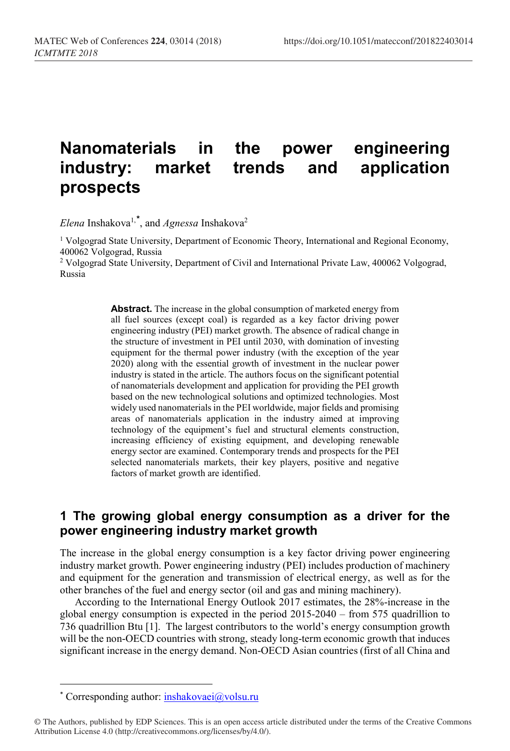# **Nanomaterials in the power engineering industry: market trends and application prospects**

*Elena* Inshakova1,**[\\*](#page-0-0)** , and *Agnessa* Inshakova2

<sup>1</sup> Volgograd State University, Department of Economic Theory, International and Regional Economy, 400062 Volgograd, Russia

<sup>2</sup> Volgograd State University, Department of Civil and International Private Law, 400062 Volgograd, Russia

> **Abstract.** The increase in the global consumption of marketed energy from all fuel sources (except coal) is regarded as a key factor driving power engineering industry (PEI) market growth. The absence of radical change in the structure of investment in PEI until 2030, with domination of investing equipment for the thermal power industry (with the exception of the year 2020) along with the essential growth of investment in the nuclear power industry is stated in the article. The authors focus on the significant potential of nanomaterials development and application for providing the PEI growth based on the new technological solutions and optimized technologies. Most widely used nanomaterials in the PEI worldwide, major fields and promising areas of nanomaterials application in the industry aimed at improving technology of the equipment's fuel and structural elements construction, increasing efficiency of existing equipment, and developing renewable energy sector are examined. Contemporary trends and prospects for the PEI selected nanomaterials markets, their key players, positive and negative factors of market growth are identified.

## **1 The growing global energy consumption as a driver for the power engineering industry market growth**

The increase in the global energy consumption is a key factor driving power engineering industry market growth. Power engineering industry (PEI) includes production of machinery and equipment for the generation and transmission of electrical energy, as well as for the other branches of the fuel and energy sector (oil and gas and mining machinery).

According to the International Energy Outlook 2017 estimates, the 28%-increase in the global energy consumption is expected in the period 2015-2040 – from 575 quadrillion to 736 quadrillion Btu [1]. The largest contributors to the world's energy consumption growth will be the non-OECD countries with strong, steady long-term economic growth that induces significant increase in the energy demand. Non-OECD Asian countries (first of all China and

 $\overline{a}$ 

<sup>\*</sup> Corresponding author: inshakovaei@volsu.ru

<span id="page-0-0"></span><sup>©</sup> The Authors, published by EDP Sciences. This is an open access article distributed under the terms of the Creative Commons Attribution License 4.0 (http://creativecommons.org/licenses/by/4.0/).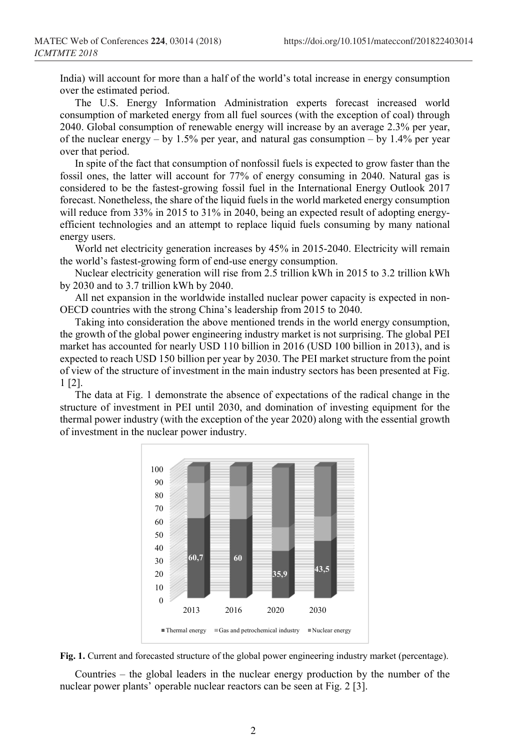India) will account for more than a half of the world's total increase in energy consumption over the estimated period.

The U.S. Energy Information Administration experts forecast increased world consumption of marketed energy from all fuel sources (with the exception of coal) through 2040. Global consumption of renewable energy will increase by an average 2.3% per year, of the nuclear energy – by 1.5% per year, and natural gas consumption – by 1.4% per year over that period.

In spite of the fact that consumption of nonfossil fuels is expected to grow faster than the fossil ones, the latter will account for 77% of energy consuming in 2040. Natural gas is considered to be the fastest-growing fossil fuel in the International Energy Outlook 2017 forecast. Nonetheless, the share of the liquid fuels in the world marketed energy consumption will reduce from 33% in 2015 to 31% in 2040, being an expected result of adopting energyefficient technologies and an attempt to replace liquid fuels consuming by many national energy users.

World net electricity generation increases by 45% in 2015-2040. Electricity will remain the world's fastest-growing form of end-use energy consumption.

Nuclear electricity generation will rise from 2.5 trillion kWh in 2015 to 3.2 trillion kWh by 2030 and to 3.7 trillion kWh by 2040.

All net expansion in the worldwide installed nuclear power capacity is expected in non-OECD countries with the strong China's leadership from 2015 to 2040.

Taking into consideration the above mentioned trends in the world energy consumption, the growth of the global power engineering industry market is not surprising. The global PEI market has accounted for nearly USD 110 billion in 2016 (USD 100 billion in 2013), and is expected to reach USD 150 billion per year by 2030. The PEI market structure from the point of view of the structure of investment in the main industry sectors has been presented at Fig. 1 [2].

The data at Fig. 1 demonstrate the absence of expectations of the radical change in the structure of investment in PEI until 2030, and domination of investing equipment for the thermal power industry (with the exception of the year 2020) along with the essential growth of investment in the nuclear power industry.



**Fig. 1.** Current and forecasted structure of the global power engineering industry market (percentage).

Countries – the global leaders in the nuclear energy production by the number of the nuclear power plants' operable nuclear reactors can be seen at Fig. 2 [3].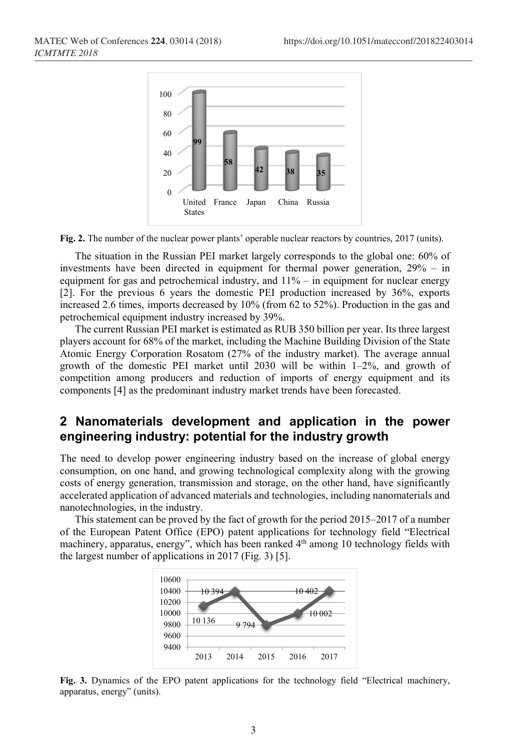

**Fig. 2.** The number of the nuclear power plants' operable nuclear reactors by countries, 2017 (units).

The situation in the Russian PEI market largely corresponds to the global one: 60% of investments have been directed in equipment for thermal power generation, 29% – in equipment for gas and petrochemical industry, and 11% – in equipment for nuclear energy [2]. For the previous 6 years the domestic PEI production increased by 36%, exports increased 2.6 times, imports decreased by 10% (from 62 to 52%). Production in the gas and petrochemical equipment industry increased by 39%.

The current Russian PEI market is estimated as RUB 350 billion per year. Its three largest players account for 68% of the market, including the Machine Building Division of the State Atomic Energy Corporation Rosatom (27% of the industry market). The average annual growth of the domestic PEI market until 2030 will be within 1–2%, and growth of competition among producers and reduction of imports of energy equipment and its components [4] as the predominant industry market trends have been forecasted.

### **2 Nanomaterials development and application in the power engineering industry: potential for the industry growth**

The need to develop power engineering industry based on the increase of global energy consumption, on one hand, and growing technological complexity along with the growing costs of energy generation, transmission and storage, on the other hand, have significantly accelerated application of advanced materials and technologies, including nanomaterials and nanotechnologies, in the industry.

This statement can be proved by the fact of growth for the period 2015–2017 of a number of the European Patent Office (EPO) patent applications for technology field "Electrical machinery, apparatus, energy", which has been ranked  $4<sup>th</sup>$  among 10 technology fields with the largest number of applications in 2017 (Fig. 3) [5].



**Fig. 3.** Dynamics of the EPO patent applications for the technology field "Electrical machinery, apparatus, energy" (units).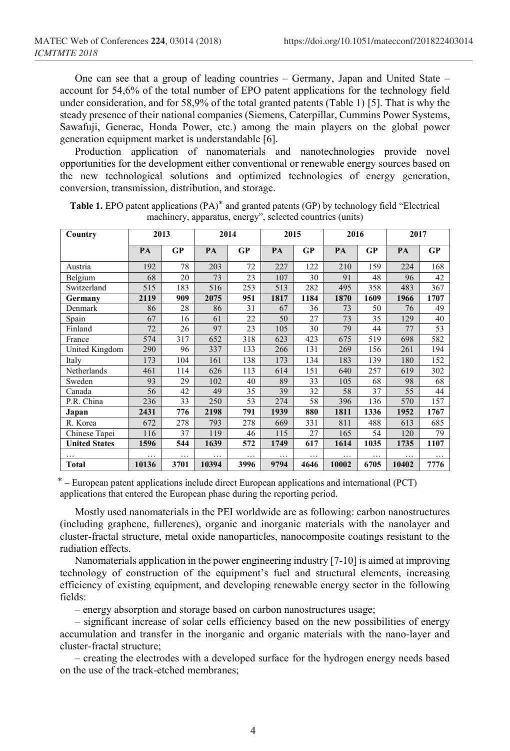One can see that a group of leading countries – Germany, Japan and United State – account for 54,6% of the total number of EPO patent applications for the technology field under consideration, and for 58,9% of the total granted patents (Table 1) [5]. That is why the steady presence of their national companies (Siemens, Caterpillar, Cummins Power Systems, Sawafuji, Generac, Honda Power, etc.) among the main players on the global power generation equipment market is understandable [6].

Production application of nanomaterials and nanotechnologies provide novel opportunities for the development either conventional or renewable energy sources based on the new technological solutions and optimized technologies of energy generation, conversion, transmission, distribution, and storage.

| Country              |          | 2013 |          | 2014     | 2015 |      |       | 2016 |          | 2017     |  |
|----------------------|----------|------|----------|----------|------|------|-------|------|----------|----------|--|
|                      | PA       | GP   | PA       | GP       | PA   | GP   | PA    | GP   | PA       | GP       |  |
| Austria              | 192      | 78   | 203      | 72       | 227  | 122  | 210   | 159  | 224      | 168      |  |
| Belgium              | 68       | 20   | 73       | 23       | 107  | 30   | 91    | 48   | 96       | 42       |  |
| Switzerland          | 515      | 183  | 516      | 253      | 513  | 282  | 495   | 358  | 483      | 367      |  |
| Germany              | 2119     | 909  | 2075     | 951      | 1817 | 1184 | 1870  | 1609 | 1966     | 1707     |  |
| Denmark              | 86       | 28   | 86       | 31       | 67   | 36   | 73    | 50   | 76       | 49       |  |
| Spain                | 67       | 16   | 61       | 22       | 50   | 27   | 73    | 35   | 129      | 40       |  |
| Finland              | 72       | 26   | 97       | 23       | 105  | 30   | 79    | 44   | 77       | 53       |  |
| France               | 574      | 317  | 652      | 318      | 623  | 423  | 675   | 519  | 698      | 582      |  |
| United Kingdom       | 290      | 96   | 337      | 133      | 266  | 131  | 269   | 156  | 261      | 194      |  |
| Italy                | 173      | 104  | 161      | 138      | 173  | 134  | 183   | 139  | 180      | 152      |  |
| Netherlands          | 461      | 114  | 626      | 113      | 614  | 151  | 640   | 257  | 619      | 302      |  |
| Sweden               | 93       | 29   | 102      | 40       | 89   | 33   | 105   | 68   | 98       | 68       |  |
| Canada               | 56       | 42   | 49       | 35       | 39   | 32   | 58    | 37   | 55       | 44       |  |
| P.R. China           | 236      | 33   | 250      | 53       | 274  | 58   | 396   | 136  | 570      | 157      |  |
| Japan                | 2431     | 776  | 2198     | 791      | 1939 | 880  | 1811  | 1336 | 1952     | 1767     |  |
| R. Korea             | 672      | 278  | 793      | 278      | 669  | 331  | 811   | 488  | 613      | 685      |  |
| Chinese Tapei        | 116      | 37   | 119      | 46       | 115  | 27   | 165   | 54   | 120      | 79       |  |
| <b>United States</b> | 1596     | 544  | 1639     | 572      | 1749 | 617  | 1614  | 1035 | 1735     | 1107     |  |
| .                    | $\cdots$ | .    | $\cdots$ | $\cdots$ | .    | .    | .     | .    | $\cdots$ | $\cdots$ |  |
| <b>Total</b>         | 10136    | 3701 | 10394    | 3996     | 9794 | 4646 | 10002 | 6705 | 10402    | 7776     |  |

Table 1. EPO patent applications (PA)<sup>\*</sup> and granted patents (GP) by technology field "Electrical machinery, apparatus, energy", selected countries (units)

⃰ – European patent applications include direct European applications and international (PCT) applications that entered the European phase during the reporting period.

Mostly used nanomaterials in the PEI worldwide are as following: carbon nanostructures (including graphene, fullerenes), organic and inorganic materials with the nanolayer and cluster-fractal structure, metal oxide nanoparticles, nanocomposite coatings resistant to the radiation effects.

Nanomaterials application in the power engineering industry [7-10] is aimed at improving technology of construction of the equipment's fuel and structural elements, increasing efficiency of existing equipment, and developing renewable energy sector in the following fields:

– energy absorption and storage based on carbon nanostructures usage;

– significant increase of solar cells efficiency based on the new possibilities of energy accumulation and transfer in the inorganic and organic materials with the nano-layer and cluster-fractal structure;

– creating the electrodes with a developed surface for the hydrogen energy needs based on the use of the track-etched membranes;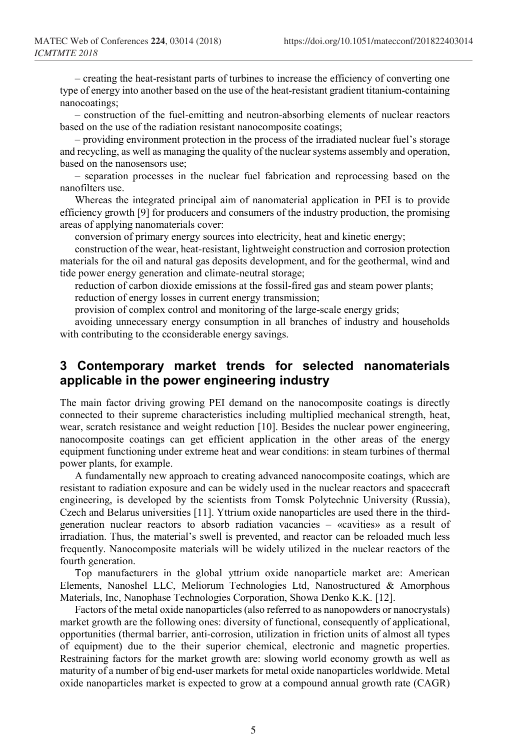– creating the heat-resistant parts of turbines to increase the efficiency of converting one type of energy into another based on the use of the heat-resistant gradient titanium-containing nanocoatings;

– construction of the fuel-emitting and neutron-absorbing elements of nuclear reactors based on the use of the radiation resistant nanocomposite coatings;

– providing environment protection in the process of the irradiated nuclear fuel's storage and recycling, as well as managing the quality of the nuclear systems assembly and operation, based on the nanosensors use;

– separation processes in the nuclear fuel fabrication and reprocessing based on the nanofilters use.

Whereas the integrated principal aim of nanomaterial application in PEI is to provide efficiency growth [9] for producers and consumers of the industry production, the promising areas of applying nanomaterials cover:

conversion of primary energy sources into electricity, heat and kinetic energy;

construction of the wear, heat-resistant, lightweight construction and corrosion protection materials for the oil and natural gas deposits development, and for the geothermal, wind and tide power energy generation and climate-neutral storage;

reduction of carbon dioxide emissions at the fossil-fired gas and steam power plants; reduction of energy losses in current energy transmission;

provision of complex control and monitoring of the large-scale energy grids;

avoiding unnecessary energy consumption in all branches of industry and households with contributing to the cconsiderable energy savings.

### **3 Contemporary market trends for selected nanomaterials applicable in the power engineering industry**

The main factor driving growing PEI demand on the nanocomposite coatings is directly connected to their supreme characteristics including multiplied mechanical strength, heat, wear, scratch resistance and weight reduction [10]. Besides the nuclear power engineering, nanocomposite coatings can get efficient application in the other areas of the energy equipment functioning under extreme heat and wear conditions: in steam turbines of thermal power plants, for example.

A fundamentally new approach to creating advanced nanocomposite coatings, which are resistant to radiation exposure and can be widely used in the nuclear reactors and spacecraft engineering, is developed by the scientists from Tomsk Polytechnic University (Russia), Czech and Belarus universities [11]. Yttrium oxide nanoparticles are used there in the thirdgeneration nuclear reactors to absorb radiation vacancies – «cavities» as a result of irradiation. Thus, the material's swell is prevented, and reactor can be reloaded much less frequently. Nanocomposite materials will be widely utilized in the nuclear reactors of the fourth generation.

Top manufacturers in the global yttrium oxide nanoparticle market are: American Elements, Nanoshel LLC, Meliorum Technologies Ltd, Nanostructured & Amorphous Materials, Inc, Nanophase Technologies Corporation, Showa Denko K.K. [12].

Factors of the metal oxide nanoparticles (also referred to as nanopowders or nanocrystals) market growth are the following ones: diversity of functional, consequently of applicational, opportunities (thermal barrier, anti-corrosion, utilization in friction units of almost all types of equipment) due to the their superior chemical, electronic and magnetic properties. Restraining factors for the market growth are: slowing world economy growth as well as maturity of a number of big end-user markets for metal oxide nanoparticles worldwide. Metal oxide nanoparticles market is expected to grow at a compound annual growth rate (CAGR)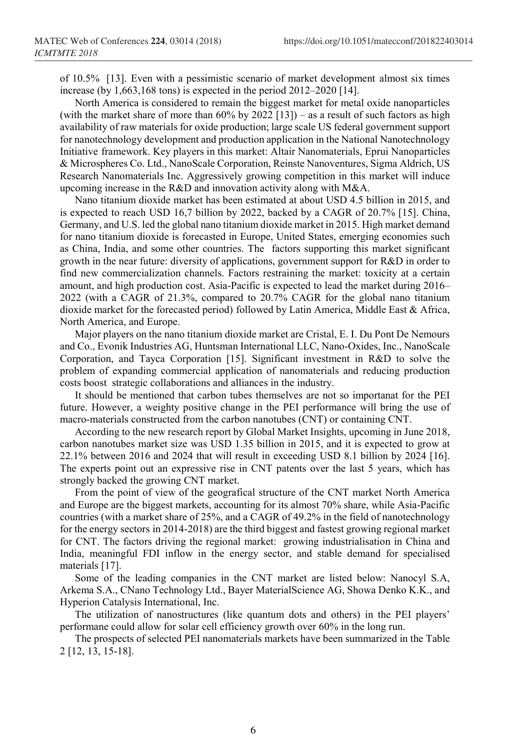of 10.5% [13]. Even with a pessimistic scenario of market development almost six times increase (by 1,663,168 tons) is expected in the period 2012–2020 [14].

North America is considered to remain the biggest market for metal oxide nanoparticles (with the market share of more than  $60\%$  by  $2022$  [13]) – as a result of such factors as high availability of raw materials for oxide production; large scale US federal government support for nanotechnology development and production application in the National Nanotechnology Initiative framework. Key players in this market: Altair Nanomaterials, Eprui Nanoparticles & Microspheres Co. Ltd., NanoScale Corporation, Reinste Nanoventures, Sigma Aldrich, US Research Nanomaterials Inc. Aggressively growing competition in this market will induce upcoming increase in the R&D and innovation activity along with M&A.

Nano titanium dioxide market has been estimated at about USD 4.5 billion in 2015, and is expected to reach USD 16,7 billion by 2022, backed by a CAGR of 20.7% [15]. China, Germany, and U.S. led the global nano titanium dioxide market in 2015. High market demand for nano titanium dioxide is forecasted in Europe, United States, emerging economies such as China, India, and some other countries. The factors supporting this market significant growth in the near future: diversity of applications, government support for R&D in order to find new commercialization channels. Factors restraining the market: toxicity at a certain amount, and high production cost. Asia-Pacific is expected to lead the market during 2016– 2022 (with a CAGR of 21.3%, compared to 20.7% CAGR for the global nano titanium dioxide market for the forecasted period) followed by Latin America, Middle East & Africa, North America, and Europe.

Major players on the nano titanium dioxide market are Cristal, E. I. Du Pont De Nemours and Co., Evonik Industries AG, Huntsman International LLC, Nano-Oxides, Inc., NanoScale Corporation, and Tayca Corporation [15]. Significant investment in R&D to solve the problem of expanding commercial application of nanomaterials and reducing production costs boost strategic collaborations and alliances in the industry.

It should be mentioned that carbon tubes themselves are not so importanat for the PEI future. However, a weighty positive change in the PEI performance will bring the use of macro-materials constructed from the carbon nanotubes (CNT) or containing CNT.

According to the new research report by Global Market Insights, upcoming in June 2018, carbon nanotubes market size was USD 1.35 billion in 2015, and it is expected to grow at 22.1% between 2016 and 2024 that will result in exceeding USD 8.1 billion by 2024 [16]. The experts point out an expressive rise in CNT patents over the last 5 years, which has strongly backed the growing CNT market.

From the point of view of the geografical structure of the CNT market North America and Europe are the biggest markets, accounting for its almost 70% share, while Asia-Pacific countries (with a market share of 25%, and a CAGR of 49.2% in the field of nanotechnology for the energy sectors in 2014-2018) are the third biggest and fastest growing regional market for CNT. The factors driving the regional market: growing industrialisation in China and India, meaningful FDI inflow in the energy sector, and stable demand for specialised materials [17].

Some of the leading companies in the CNT market are listed below: Nanocyl S.A, Arkema S.A., CNano Technology Ltd., Bayer MaterialScience AG, Showa Denko K.K., and Hyperion Catalysis International, Inc.

The utilization of nanostructures (like quantum dots and others) in the PEI players' performane could allow for solar cell efficiency growth over 60% in the long run.

The prospects of selected PEI nanomaterials markets have been summarized in the Table 2 [12, 13, 15-18].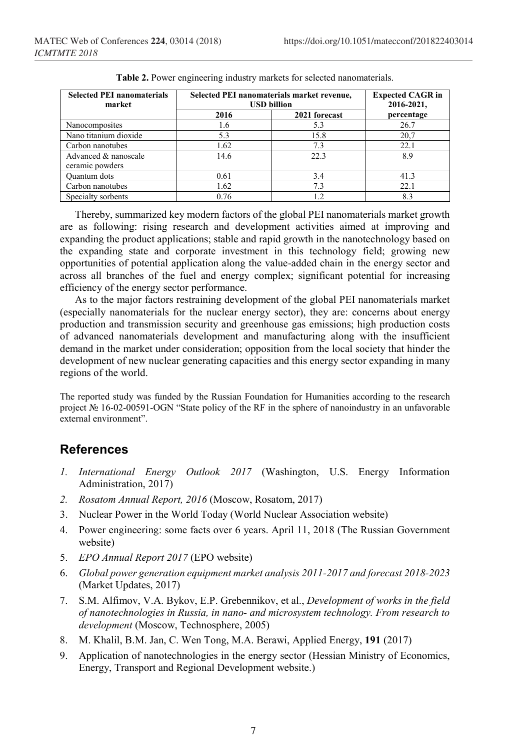| <b>Selected PEI nanomaterials</b><br>market | Selected PEI nanomaterials market revenue,<br><b>USD billion</b> | <b>Expected CAGR in</b><br>2016-2021, |            |  |
|---------------------------------------------|------------------------------------------------------------------|---------------------------------------|------------|--|
|                                             | 2016                                                             | 2021 forecast                         | percentage |  |
| Nanocomposites                              | 1.6                                                              | 5.3                                   | 26.7       |  |
| Nano titanium dioxide                       | 5.3                                                              | 15.8                                  | 20.7       |  |
| Carbon nanotubes                            | 1.62                                                             | 7.3                                   | 22.1       |  |
| Advanced & nanoscale<br>ceramic powders     | 14.6                                                             | 22.3                                  | 8.9        |  |
| Quantum dots                                | 0.61                                                             | 3.4                                   | 41.3       |  |
| Carbon nanotubes                            | 1.62                                                             | 7.3                                   | 22.1       |  |
| Specialty sorbents                          | 0.76                                                             | $\cdot$                               | 8.3        |  |

**Table 2.** Power engineering industry markets for selected nanomaterials.

Thereby, summarized key modern factors of the global PEI nanomaterials market growth are as following: rising research and development activities aimed at improving and expanding the product applications; stable and rapid growth in the nanotechnology based on the expanding state and corporate investment in this technology field; growing new opportunities of potential application along the value-added chain in the energy sector and across all branches of the fuel and energy complex; significant potential for increasing efficiency of the energy sector performance.

As to the major factors restraining development of the global PEI nanomaterials market (especially nanomaterials for the nuclear energy sector), they are: concerns about energy production and transmission security and greenhouse gas emissions; high production costs of advanced nanomaterials development and manufacturing along with the insufficient demand in the market under consideration; opposition from the local society that hinder the development of new nuclear generating capacities and this energy sector expanding in many regions of the world.

The reported study was funded by the Russian Foundation for Humanities according to the research project № 16-02-00591-ОGN "State policy of the RF in the sphere of nanoindustry in an unfavorable external environment".

## **References**

- *1. International Energy Outlook 2017* (Washington, U.S. Energy Information Administration, 2017)
- *2. Rosatom Annual Report, 2016* (Moscow, Rosatom, 2017)
- 3. Nuclear Power in the World Today (World Nuclear Association website)
- 4. Power engineering: some facts over 6 years. April 11, 2018 (The Russian Government website)
- 5. *EPO Annual Report 2017* (EPO website)
- 6. *Global power generation equipment market analysis 2011-2017 and forecast 2018-2023* (Market Updates, 2017)
- 7. S.M. Alfimov, V.A. Bykov, E.P. Grebennikov, et al., *Development of works in the field of nanotechnologies in Russia, in nano- and microsystem technology. From research to development* (Moscow, Technosphere, 2005)
- 8. M. Khalil, B.M. Jan, C. Wen Tong, M.A. Berawi, Applied Energy, **191** (2017)
- 9. Application of nanotechnologies in the energy sector (Hessian Ministry of Economics, Energy, Transport and Regional Development website.)